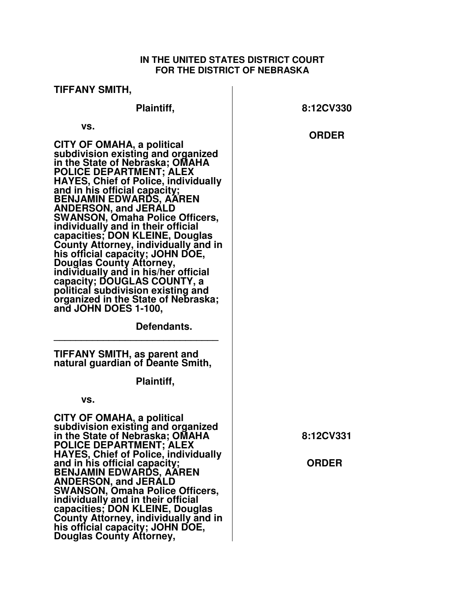## **IN THE UNITED STATES DISTRICT COURT FOR THE DISTRICT OF NEBRASKA**

| TIFFANY SMITH,                                                                                                                                                                                                                                                                                                                                                                                                                                                  |              |
|-----------------------------------------------------------------------------------------------------------------------------------------------------------------------------------------------------------------------------------------------------------------------------------------------------------------------------------------------------------------------------------------------------------------------------------------------------------------|--------------|
| Plaintiff,                                                                                                                                                                                                                                                                                                                                                                                                                                                      | 8:12CV330    |
| VS.<br>CITY OF OMAHA, a political<br>subdivision existing and organized<br>in the State of Nebraska; OMAHA<br><b>POLICE DEPARTMENT; ALEX</b><br><b>HAYES, Chief of Police, individually</b><br>and in his official capacity;<br><b>BENJAMIN EDWARDS, AAREN</b><br><b>ANDERSON, and JERALD</b><br><b>SWANSON, Omaha Police Officers,</b><br>individually and in their official<br>capacities; DON KLEINE, Douglas<br><b>County Attorney, individually and in</b> | <b>ORDER</b> |
| his official capacity; JOHN DOE,<br><b>Douglas County Attorney,</b><br>individually and in his/her official<br>capacity; DOUGLAS COUNTY, a<br>political subdivision existing and<br>organized in the State of Nebraska;<br>and JOHN DOES 1-100,<br>Defendants.                                                                                                                                                                                                  |              |
| TIFFANY SMITH, as parent and<br>natural guardian of Deante Smith,                                                                                                                                                                                                                                                                                                                                                                                               |              |
| Plaintiff,<br>VS.                                                                                                                                                                                                                                                                                                                                                                                                                                               |              |
| CITY OF OMAHA, a political<br>subdivision existing and organized<br>in the State of Nebraska; OMAHA<br>POLICE DEPARTMENT; ALEX<br><b>HAYES, Chief of Police, individually</b>                                                                                                                                                                                                                                                                                   | 8:12CV331    |
| and in his official capacity;<br><b>BENJAMIN EDWARDS, AAREN</b><br><b>ANDERSON, and JERALD</b><br><b>SWANSON, Omaha Police Officers,</b><br>individually and in their official<br>capacities; DON KLEINE, Douglas<br><b>County Attorney, individually and in</b><br>his official capacity; JOHN DOE,<br>Douglas County Attorney,                                                                                                                                | <b>ORDER</b> |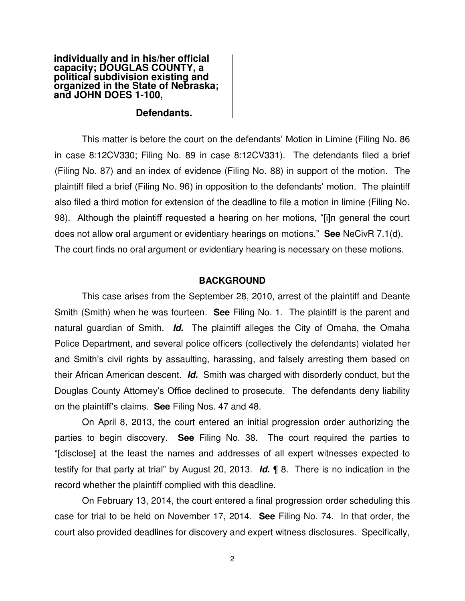#### **individually and in his/her official capacity; DOUGLAS COUNTY, a political subdivision existing and organized in the State of Nebraska; and JOHN DOES 1-100,**

### **Defendants.**

 This matter is before the court on the defendants' Motion in Limine (Filing No. 86 in case 8:12CV330; Filing No. 89 in case 8:12CV331). The defendants filed a brief (Filing No. 87) and an index of evidence (Filing No. 88) in support of the motion. The plaintiff filed a brief (Filing No. 96) in opposition to the defendants' motion. The plaintiff also filed a third motion for extension of the deadline to file a motion in limine (Filing No. 98). Although the plaintiff requested a hearing on her motions, "[i]n general the court does not allow oral argument or evidentiary hearings on motions." **See** NeCivR 7.1(d). The court finds no oral argument or evidentiary hearing is necessary on these motions.

### **BACKGROUND**

 This case arises from the September 28, 2010, arrest of the plaintiff and Deante Smith (Smith) when he was fourteen. **See** Filing No. 1. The plaintiff is the parent and natural guardian of Smith. *Id.* The plaintiff alleges the City of Omaha, the Omaha Police Department, and several police officers (collectively the defendants) violated her and Smith's civil rights by assaulting, harassing, and falsely arresting them based on their African American descent. *Id.* Smith was charged with disorderly conduct, but the Douglas County Attorney's Office declined to prosecute. The defendants deny liability on the plaintiff's claims. **See** Filing Nos. 47 and 48.

 On April 8, 2013, the court entered an initial progression order authorizing the parties to begin discovery. **See** Filing No. 38. The court required the parties to "[disclose] at the least the names and addresses of all expert witnesses expected to testify for that party at trial" by August 20, 2013. *Id.* ¶ 8. There is no indication in the record whether the plaintiff complied with this deadline.

 On February 13, 2014, the court entered a final progression order scheduling this case for trial to be held on November 17, 2014. **See** Filing No. 74. In that order, the court also provided deadlines for discovery and expert witness disclosures. Specifically,

2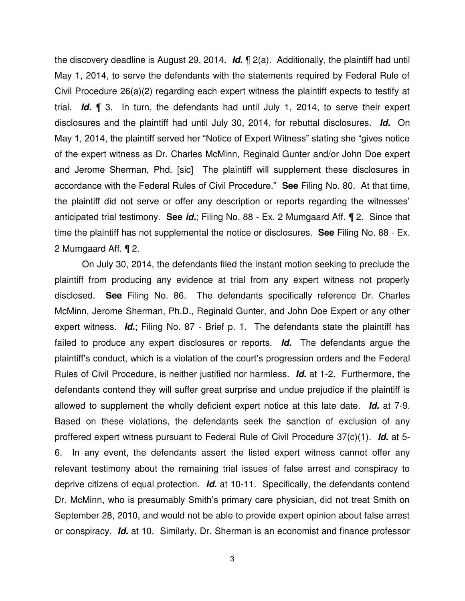the discovery deadline is August 29, 2014. *Id.* ¶ 2(a). Additionally, the plaintiff had until May 1, 2014, to serve the defendants with the statements required by Federal Rule of Civil Procedure 26(a)(2) regarding each expert witness the plaintiff expects to testify at trial. *Id.* ¶ 3. In turn, the defendants had until July 1, 2014, to serve their expert disclosures and the plaintiff had until July 30, 2014, for rebuttal disclosures. *Id.* On May 1, 2014, the plaintiff served her "Notice of Expert Witness" stating she "gives notice of the expert witness as Dr. Charles McMinn, Reginald Gunter and/or John Doe expert and Jerome Sherman, Phd. [sic] The plaintiff will supplement these disclosures in accordance with the Federal Rules of Civil Procedure." **See** Filing No. 80. At that time, the plaintiff did not serve or offer any description or reports regarding the witnesses' anticipated trial testimony. **See** *id.*; Filing No. 88 - Ex. 2 Mumgaard Aff. ¶ 2. Since that time the plaintiff has not supplemental the notice or disclosures. **See** Filing No. 88 - Ex. 2 Mumgaard Aff. ¶ 2.

 On July 30, 2014, the defendants filed the instant motion seeking to preclude the plaintiff from producing any evidence at trial from any expert witness not properly disclosed. **See** Filing No. 86. The defendants specifically reference Dr. Charles McMinn, Jerome Sherman, Ph.D., Reginald Gunter, and John Doe Expert or any other expert witness. *Id.*; Filing No. 87 - Brief p. 1. The defendants state the plaintiff has failed to produce any expert disclosures or reports. *Id.* The defendants argue the plaintiff's conduct, which is a violation of the court's progression orders and the Federal Rules of Civil Procedure, is neither justified nor harmless. *Id.* at 1-2. Furthermore, the defendants contend they will suffer great surprise and undue prejudice if the plaintiff is allowed to supplement the wholly deficient expert notice at this late date. *Id.* at 7-9. Based on these violations, the defendants seek the sanction of exclusion of any proffered expert witness pursuant to Federal Rule of Civil Procedure 37(c)(1). *Id.* at 5- 6. In any event, the defendants assert the listed expert witness cannot offer any relevant testimony about the remaining trial issues of false arrest and conspiracy to deprive citizens of equal protection. *Id.* at 10-11. Specifically, the defendants contend Dr. McMinn, who is presumably Smith's primary care physician, did not treat Smith on September 28, 2010, and would not be able to provide expert opinion about false arrest or conspiracy. *Id.* at 10. Similarly, Dr. Sherman is an economist and finance professor

3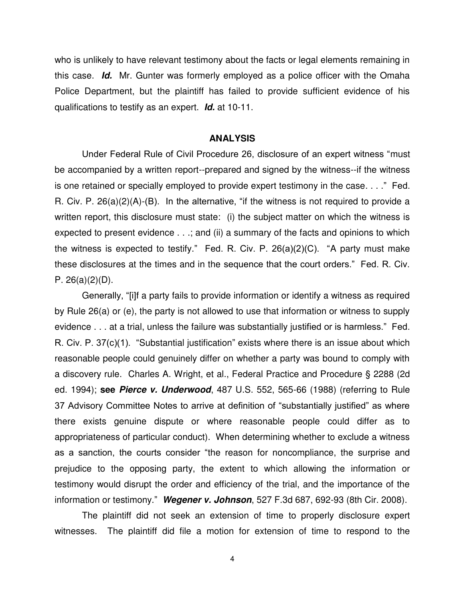who is unlikely to have relevant testimony about the facts or legal elements remaining in this case. *Id.* Mr. Gunter was formerly employed as a police officer with the Omaha Police Department, but the plaintiff has failed to provide sufficient evidence of his qualifications to testify as an expert. *Id.* at 10-11.

#### **ANALYSIS**

Under Federal Rule of Civil Procedure 26, disclosure of an expert witness "must be accompanied by a written report--prepared and signed by the witness--if the witness is one retained or specially employed to provide expert testimony in the case. . . ." Fed. R. Civ. P. 26(a)(2)(A)-(B). In the alternative, "if the witness is not required to provide a written report, this disclosure must state: (i) the subject matter on which the witness is expected to present evidence . . .; and (ii) a summary of the facts and opinions to which the witness is expected to testify." Fed. R. Civ. P. 26(a)(2)(C). "A party must make these disclosures at the times and in the sequence that the court orders." Fed. R. Civ. P. 26(a)(2)(D).

 Generally, "[i]f a party fails to provide information or identify a witness as required by Rule 26(a) or (e), the party is not allowed to use that information or witness to supply evidence . . . at a trial, unless the failure was substantially justified or is harmless." Fed. R. Civ. P. 37(c)(1). "Substantial justification" exists where there is an issue about which reasonable people could genuinely differ on whether a party was bound to comply with a discovery rule. Charles A. Wright, et al., Federal Practice and Procedure § 2288 (2d ed. 1994); **see** *Pierce v. Underwood*, 487 U.S. 552, 565-66 (1988) (referring to Rule 37 Advisory Committee Notes to arrive at definition of "substantially justified" as where there exists genuine dispute or where reasonable people could differ as to appropriateness of particular conduct). When determining whether to exclude a witness as a sanction, the courts consider "the reason for noncompliance, the surprise and prejudice to the opposing party, the extent to which allowing the information or testimony would disrupt the order and efficiency of the trial, and the importance of the information or testimony." *Wegener v. Johnson*, 527 F.3d 687, 692-93 (8th Cir. 2008).

 The plaintiff did not seek an extension of time to properly disclosure expert witnesses. The plaintiff did file a motion for extension of time to respond to the

4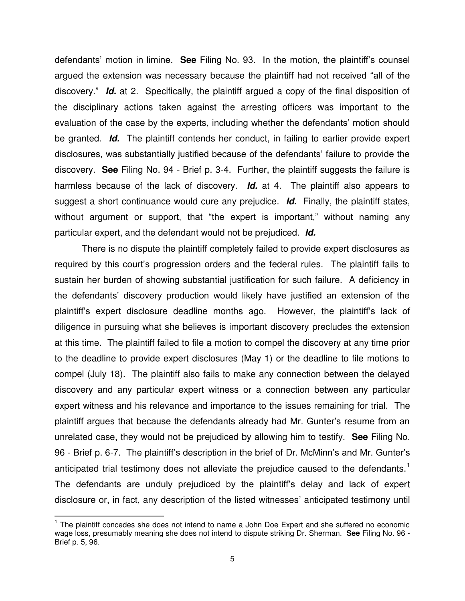defendants' motion in limine. **See** Filing No. 93. In the motion, the plaintiff's counsel argued the extension was necessary because the plaintiff had not received "all of the discovery." *Id.* at 2. Specifically, the plaintiff argued a copy of the final disposition of the disciplinary actions taken against the arresting officers was important to the evaluation of the case by the experts, including whether the defendants' motion should be granted. *Id.* The plaintiff contends her conduct, in failing to earlier provide expert disclosures, was substantially justified because of the defendants' failure to provide the discovery. **See** Filing No. 94 - Brief p. 3-4. Further, the plaintiff suggests the failure is harmless because of the lack of discovery. *Id.* at 4. The plaintiff also appears to suggest a short continuance would cure any prejudice. *Id.* Finally, the plaintiff states, without argument or support, that "the expert is important," without naming any particular expert, and the defendant would not be prejudiced. *Id.*

 There is no dispute the plaintiff completely failed to provide expert disclosures as required by this court's progression orders and the federal rules. The plaintiff fails to sustain her burden of showing substantial justification for such failure. A deficiency in the defendants' discovery production would likely have justified an extension of the plaintiff's expert disclosure deadline months ago. However, the plaintiff's lack of diligence in pursuing what she believes is important discovery precludes the extension at this time. The plaintiff failed to file a motion to compel the discovery at any time prior to the deadline to provide expert disclosures (May 1) or the deadline to file motions to compel (July 18). The plaintiff also fails to make any connection between the delayed discovery and any particular expert witness or a connection between any particular expert witness and his relevance and importance to the issues remaining for trial. The plaintiff argues that because the defendants already had Mr. Gunter's resume from an unrelated case, they would not be prejudiced by allowing him to testify. **See** Filing No. 96 - Brief p. 6-7. The plaintiff's description in the brief of Dr. McMinn's and Mr. Gunter's anticipated trial testimony does not alleviate the prejudice caused to the defendants.<sup>1</sup> The defendants are unduly prejudiced by the plaintiff's delay and lack of expert disclosure or, in fact, any description of the listed witnesses' anticipated testimony until

 $\overline{1}$ <sup>1</sup> The plaintiff concedes she does not intend to name a John Doe Expert and she suffered no economic wage loss, presumably meaning she does not intend to dispute striking Dr. Sherman. **See** Filing No. 96 - Brief p. 5, 96.